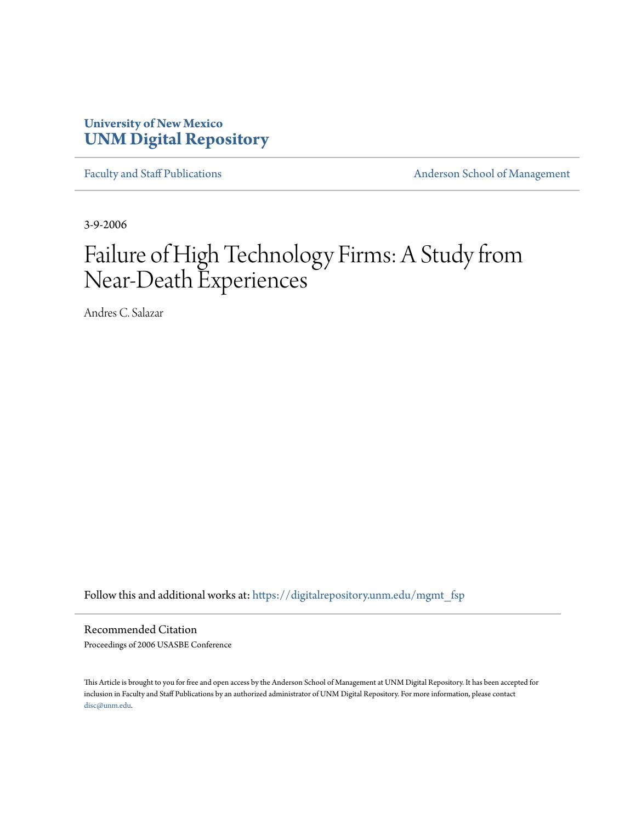# **University of New Mexico [UNM Digital Repository](https://digitalrepository.unm.edu?utm_source=digitalrepository.unm.edu%2Fmgmt_fsp%2F8&utm_medium=PDF&utm_campaign=PDFCoverPages)**

[Faculty and Staff Publications](https://digitalrepository.unm.edu/mgmt_fsp?utm_source=digitalrepository.unm.edu%2Fmgmt_fsp%2F8&utm_medium=PDF&utm_campaign=PDFCoverPages) **[Anderson School of Management](https://digitalrepository.unm.edu/mgmt?utm_source=digitalrepository.unm.edu%2Fmgmt_fsp%2F8&utm_medium=PDF&utm_campaign=PDFCoverPages)** 

3-9-2006

# Failure of High Technology Firms: A Study from Near-Death Experiences

Andres C. Salazar

Follow this and additional works at: [https://digitalrepository.unm.edu/mgmt\\_fsp](https://digitalrepository.unm.edu/mgmt_fsp?utm_source=digitalrepository.unm.edu%2Fmgmt_fsp%2F8&utm_medium=PDF&utm_campaign=PDFCoverPages)

Recommended Citation Proceedings of 2006 USASBE Conference

This Article is brought to you for free and open access by the Anderson School of Management at UNM Digital Repository. It has been accepted for inclusion in Faculty and Staff Publications by an authorized administrator of UNM Digital Repository. For more information, please contact [disc@unm.edu](mailto:disc@unm.edu).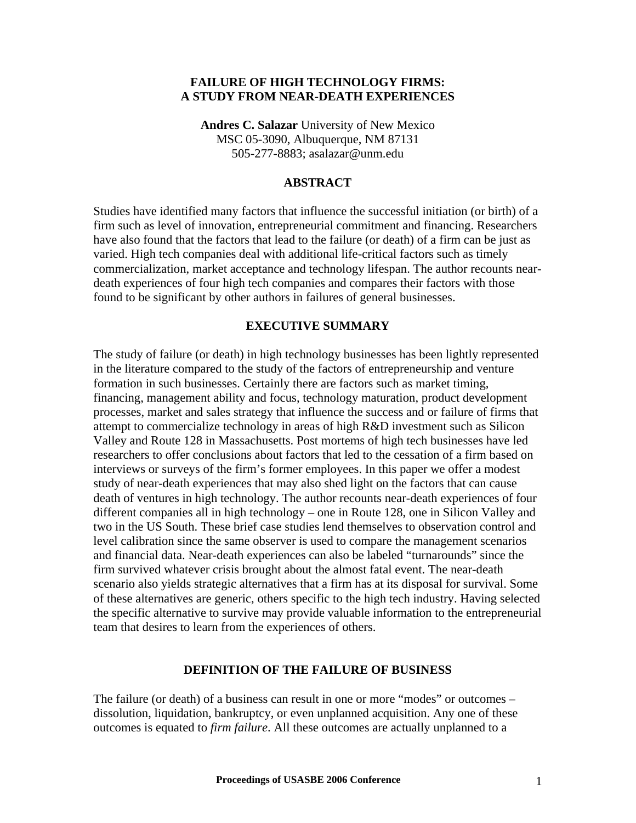### **FAILURE OF HIGH TECHNOLOGY FIRMS: A STUDY FROM NEAR-DEATH EXPERIENCES**

**Andres C. Salazar** University of New Mexico MSC 05-3090, Albuquerque, NM 87131 505-277-8883; asalazar@unm.edu

#### **ABSTRACT**

Studies have identified many factors that influence the successful initiation (or birth) of a firm such as level of innovation, entrepreneurial commitment and financing. Researchers have also found that the factors that lead to the failure (or death) of a firm can be just as varied. High tech companies deal with additional life-critical factors such as timely commercialization, market acceptance and technology lifespan. The author recounts neardeath experiences of four high tech companies and compares their factors with those found to be significant by other authors in failures of general businesses.

### **EXECUTIVE SUMMARY**

The study of failure (or death) in high technology businesses has been lightly represented in the literature compared to the study of the factors of entrepreneurship and venture formation in such businesses. Certainly there are factors such as market timing, financing, management ability and focus, technology maturation, product development processes, market and sales strategy that influence the success and or failure of firms that attempt to commercialize technology in areas of high R&D investment such as Silicon Valley and Route 128 in Massachusetts. Post mortems of high tech businesses have led researchers to offer conclusions about factors that led to the cessation of a firm based on interviews or surveys of the firm's former employees. In this paper we offer a modest study of near-death experiences that may also shed light on the factors that can cause death of ventures in high technology. The author recounts near-death experiences of four different companies all in high technology – one in Route 128, one in Silicon Valley and two in the US South. These brief case studies lend themselves to observation control and level calibration since the same observer is used to compare the management scenarios and financial data. Near-death experiences can also be labeled "turnarounds" since the firm survived whatever crisis brought about the almost fatal event. The near-death scenario also yields strategic alternatives that a firm has at its disposal for survival. Some of these alternatives are generic, others specific to the high tech industry. Having selected the specific alternative to survive may provide valuable information to the entrepreneurial team that desires to learn from the experiences of others.

#### **DEFINITION OF THE FAILURE OF BUSINESS**

The failure (or death) of a business can result in one or more "modes" or outcomes – dissolution, liquidation, bankruptcy, or even unplanned acquisition. Any one of these outcomes is equated to *firm failure*. All these outcomes are actually unplanned to a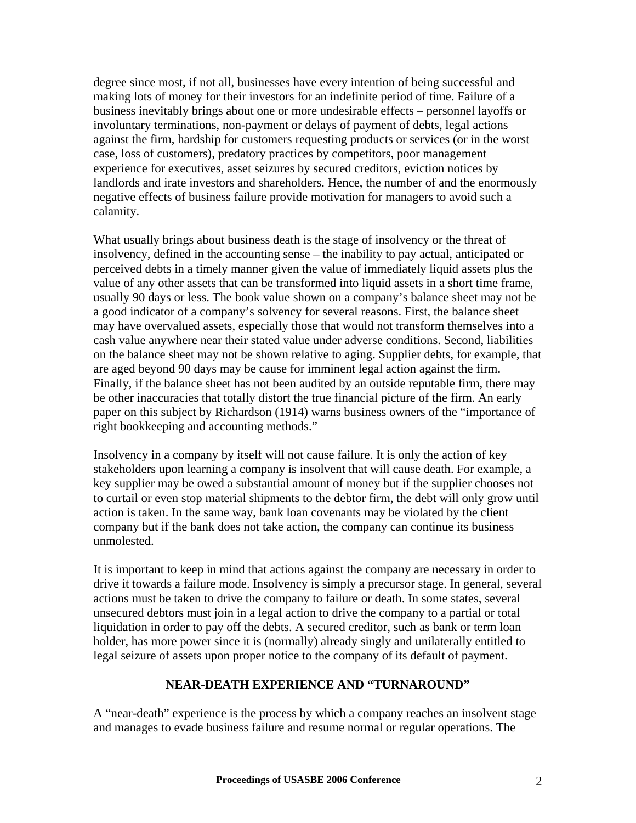degree since most, if not all, businesses have every intention of being successful and making lots of money for their investors for an indefinite period of time. Failure of a business inevitably brings about one or more undesirable effects – personnel layoffs or involuntary terminations, non-payment or delays of payment of debts, legal actions against the firm, hardship for customers requesting products or services (or in the worst case, loss of customers), predatory practices by competitors, poor management experience for executives, asset seizures by secured creditors, eviction notices by landlords and irate investors and shareholders. Hence, the number of and the enormously negative effects of business failure provide motivation for managers to avoid such a calamity.

What usually brings about business death is the stage of insolvency or the threat of insolvency, defined in the accounting sense – the inability to pay actual, anticipated or perceived debts in a timely manner given the value of immediately liquid assets plus the value of any other assets that can be transformed into liquid assets in a short time frame, usually 90 days or less. The book value shown on a company's balance sheet may not be a good indicator of a company's solvency for several reasons. First, the balance sheet may have overvalued assets, especially those that would not transform themselves into a cash value anywhere near their stated value under adverse conditions. Second, liabilities on the balance sheet may not be shown relative to aging. Supplier debts, for example, that are aged beyond 90 days may be cause for imminent legal action against the firm. Finally, if the balance sheet has not been audited by an outside reputable firm, there may be other inaccuracies that totally distort the true financial picture of the firm. An early paper on this subject by Richardson (1914) warns business owners of the "importance of right bookkeeping and accounting methods."

Insolvency in a company by itself will not cause failure. It is only the action of key stakeholders upon learning a company is insolvent that will cause death. For example, a key supplier may be owed a substantial amount of money but if the supplier chooses not to curtail or even stop material shipments to the debtor firm, the debt will only grow until action is taken. In the same way, bank loan covenants may be violated by the client company but if the bank does not take action, the company can continue its business unmolested.

It is important to keep in mind that actions against the company are necessary in order to drive it towards a failure mode. Insolvency is simply a precursor stage. In general, several actions must be taken to drive the company to failure or death. In some states, several unsecured debtors must join in a legal action to drive the company to a partial or total liquidation in order to pay off the debts. A secured creditor, such as bank or term loan holder, has more power since it is (normally) already singly and unilaterally entitled to legal seizure of assets upon proper notice to the company of its default of payment.

### **NEAR-DEATH EXPERIENCE AND "TURNAROUND"**

A "near-death" experience is the process by which a company reaches an insolvent stage and manages to evade business failure and resume normal or regular operations. The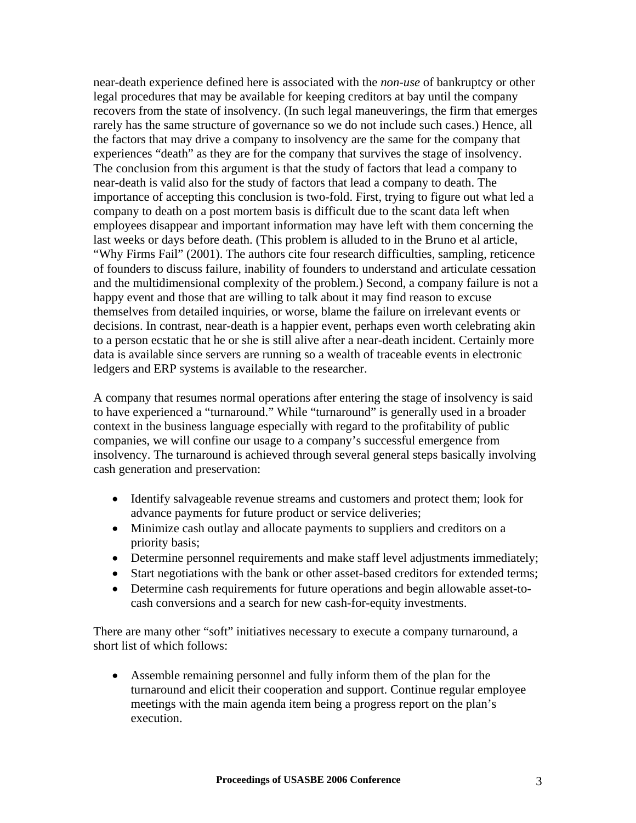near-death experience defined here is associated with the *non-use* of bankruptcy or other legal procedures that may be available for keeping creditors at bay until the company recovers from the state of insolvency. (In such legal maneuverings, the firm that emerges rarely has the same structure of governance so we do not include such cases.) Hence, all the factors that may drive a company to insolvency are the same for the company that experiences "death" as they are for the company that survives the stage of insolvency. The conclusion from this argument is that the study of factors that lead a company to near-death is valid also for the study of factors that lead a company to death. The importance of accepting this conclusion is two-fold. First, trying to figure out what led a company to death on a post mortem basis is difficult due to the scant data left when employees disappear and important information may have left with them concerning the last weeks or days before death. (This problem is alluded to in the Bruno et al article, "Why Firms Fail" (2001). The authors cite four research difficulties, sampling, reticence of founders to discuss failure, inability of founders to understand and articulate cessation and the multidimensional complexity of the problem.) Second, a company failure is not a happy event and those that are willing to talk about it may find reason to excuse themselves from detailed inquiries, or worse, blame the failure on irrelevant events or decisions. In contrast, near-death is a happier event, perhaps even worth celebrating akin to a person ecstatic that he or she is still alive after a near-death incident. Certainly more data is available since servers are running so a wealth of traceable events in electronic ledgers and ERP systems is available to the researcher.

A company that resumes normal operations after entering the stage of insolvency is said to have experienced a "turnaround." While "turnaround" is generally used in a broader context in the business language especially with regard to the profitability of public companies, we will confine our usage to a company's successful emergence from insolvency. The turnaround is achieved through several general steps basically involving cash generation and preservation:

- Identify salvageable revenue streams and customers and protect them; look for advance payments for future product or service deliveries;
- Minimize cash outlay and allocate payments to suppliers and creditors on a priority basis;
- Determine personnel requirements and make staff level adjustments immediately;
- Start negotiations with the bank or other asset-based creditors for extended terms;
- Determine cash requirements for future operations and begin allowable asset-tocash conversions and a search for new cash-for-equity investments.

There are many other "soft" initiatives necessary to execute a company turnaround, a short list of which follows:

• Assemble remaining personnel and fully inform them of the plan for the turnaround and elicit their cooperation and support. Continue regular employee meetings with the main agenda item being a progress report on the plan's execution.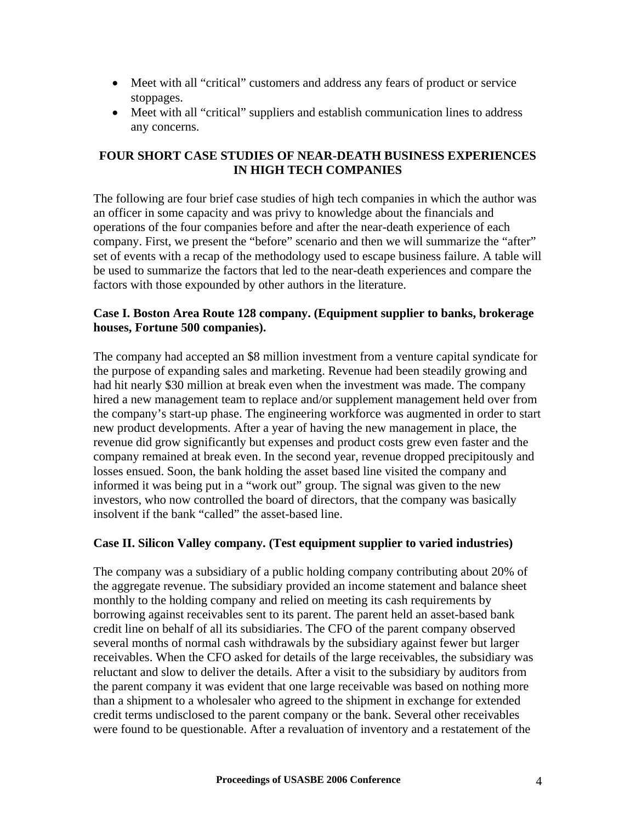- Meet with all "critical" customers and address any fears of product or service stoppages.
- Meet with all "critical" suppliers and establish communication lines to address any concerns.

# **FOUR SHORT CASE STUDIES OF NEAR-DEATH BUSINESS EXPERIENCES IN HIGH TECH COMPANIES**

The following are four brief case studies of high tech companies in which the author was an officer in some capacity and was privy to knowledge about the financials and operations of the four companies before and after the near-death experience of each company. First, we present the "before" scenario and then we will summarize the "after" set of events with a recap of the methodology used to escape business failure. A table will be used to summarize the factors that led to the near-death experiences and compare the factors with those expounded by other authors in the literature.

# **Case I. Boston Area Route 128 company. (Equipment supplier to banks, brokerage houses, Fortune 500 companies).**

The company had accepted an \$8 million investment from a venture capital syndicate for the purpose of expanding sales and marketing. Revenue had been steadily growing and had hit nearly \$30 million at break even when the investment was made. The company hired a new management team to replace and/or supplement management held over from the company's start-up phase. The engineering workforce was augmented in order to start new product developments. After a year of having the new management in place, the revenue did grow significantly but expenses and product costs grew even faster and the company remained at break even. In the second year, revenue dropped precipitously and losses ensued. Soon, the bank holding the asset based line visited the company and informed it was being put in a "work out" group. The signal was given to the new investors, who now controlled the board of directors, that the company was basically insolvent if the bank "called" the asset-based line.

# **Case II. Silicon Valley company. (Test equipment supplier to varied industries)**

The company was a subsidiary of a public holding company contributing about 20% of the aggregate revenue. The subsidiary provided an income statement and balance sheet monthly to the holding company and relied on meeting its cash requirements by borrowing against receivables sent to its parent. The parent held an asset-based bank credit line on behalf of all its subsidiaries. The CFO of the parent company observed several months of normal cash withdrawals by the subsidiary against fewer but larger receivables. When the CFO asked for details of the large receivables, the subsidiary was reluctant and slow to deliver the details. After a visit to the subsidiary by auditors from the parent company it was evident that one large receivable was based on nothing more than a shipment to a wholesaler who agreed to the shipment in exchange for extended credit terms undisclosed to the parent company or the bank. Several other receivables were found to be questionable. After a revaluation of inventory and a restatement of the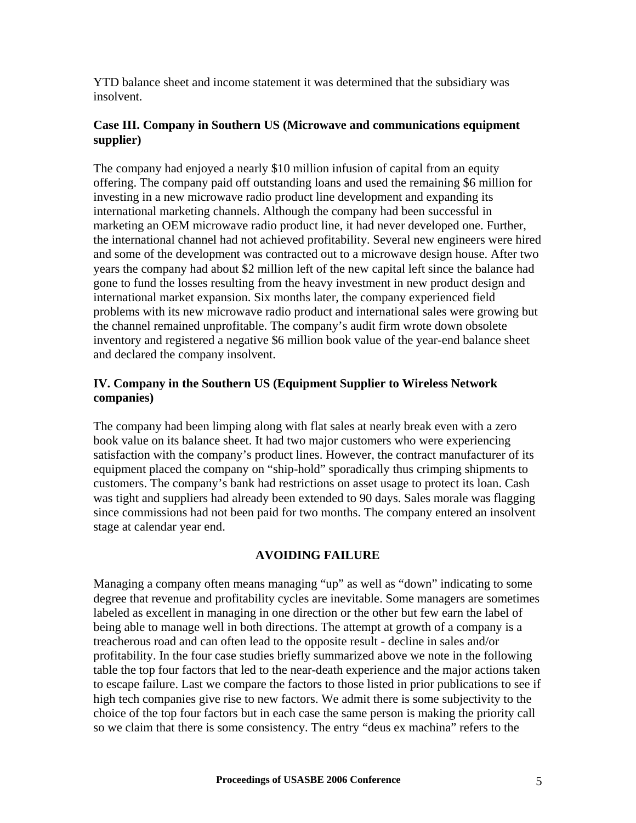YTD balance sheet and income statement it was determined that the subsidiary was insolvent.

## **Case III. Company in Southern US (Microwave and communications equipment supplier)**

The company had enjoyed a nearly \$10 million infusion of capital from an equity offering. The company paid off outstanding loans and used the remaining \$6 million for investing in a new microwave radio product line development and expanding its international marketing channels. Although the company had been successful in marketing an OEM microwave radio product line, it had never developed one. Further, the international channel had not achieved profitability. Several new engineers were hired and some of the development was contracted out to a microwave design house. After two years the company had about \$2 million left of the new capital left since the balance had gone to fund the losses resulting from the heavy investment in new product design and international market expansion. Six months later, the company experienced field problems with its new microwave radio product and international sales were growing but the channel remained unprofitable. The company's audit firm wrote down obsolete inventory and registered a negative \$6 million book value of the year-end balance sheet and declared the company insolvent.

# **IV. Company in the Southern US (Equipment Supplier to Wireless Network companies)**

The company had been limping along with flat sales at nearly break even with a zero book value on its balance sheet. It had two major customers who were experiencing satisfaction with the company's product lines. However, the contract manufacturer of its equipment placed the company on "ship-hold" sporadically thus crimping shipments to customers. The company's bank had restrictions on asset usage to protect its loan. Cash was tight and suppliers had already been extended to 90 days. Sales morale was flagging since commissions had not been paid for two months. The company entered an insolvent stage at calendar year end.

# **AVOIDING FAILURE**

Managing a company often means managing "up" as well as "down" indicating to some degree that revenue and profitability cycles are inevitable. Some managers are sometimes labeled as excellent in managing in one direction or the other but few earn the label of being able to manage well in both directions. The attempt at growth of a company is a treacherous road and can often lead to the opposite result - decline in sales and/or profitability. In the four case studies briefly summarized above we note in the following table the top four factors that led to the near-death experience and the major actions taken to escape failure. Last we compare the factors to those listed in prior publications to see if high tech companies give rise to new factors. We admit there is some subjectivity to the choice of the top four factors but in each case the same person is making the priority call so we claim that there is some consistency. The entry "deus ex machina" refers to the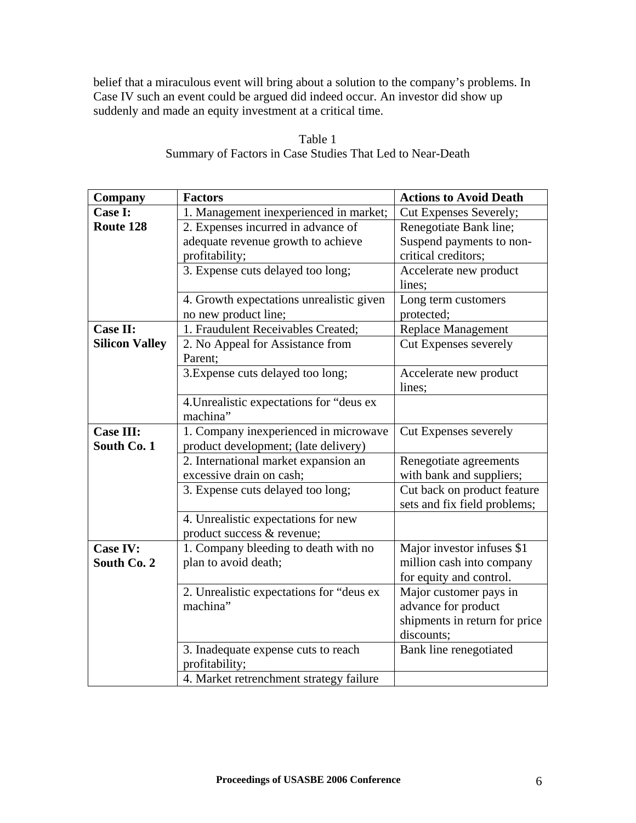belief that a miraculous event will bring about a solution to the company's problems. In Case IV such an event could be argued did indeed occur. An investor did show up suddenly and made an equity investment at a critical time.

| Company               | <b>Factors</b>                                                    | <b>Actions to Avoid Death</b>                           |
|-----------------------|-------------------------------------------------------------------|---------------------------------------------------------|
| Case I:               | 1. Management inexperienced in market;                            | Cut Expenses Severely;                                  |
| Route 128             | 2. Expenses incurred in advance of                                | Renegotiate Bank line;                                  |
|                       | adequate revenue growth to achieve                                | Suspend payments to non-                                |
|                       | profitability;                                                    | critical creditors;                                     |
|                       | 3. Expense cuts delayed too long;                                 | Accelerate new product<br>lines;                        |
|                       | 4. Growth expectations unrealistic given                          | Long term customers                                     |
|                       | no new product line;                                              | protected;                                              |
| Case II:              | 1. Fraudulent Receivables Created;                                | Replace Management                                      |
| <b>Silicon Valley</b> | 2. No Appeal for Assistance from<br>Parent;                       | <b>Cut Expenses severely</b>                            |
|                       | 3. Expense cuts delayed too long;                                 | Accelerate new product<br>lines;                        |
|                       | 4. Unrealistic expectations for "deus ex<br>machina"              |                                                         |
| <b>Case III:</b>      | 1. Company inexperienced in microwave                             | Cut Expenses severely                                   |
| South Co. 1           | product development; (late delivery)                              |                                                         |
|                       | 2. International market expansion an                              | Renegotiate agreements                                  |
|                       | excessive drain on cash;                                          | with bank and suppliers;<br>Cut back on product feature |
|                       | 3. Expense cuts delayed too long;                                 | sets and fix field problems;                            |
|                       | 4. Unrealistic expectations for new<br>product success & revenue; |                                                         |
| <b>Case IV:</b>       | 1. Company bleeding to death with no                              | Major investor infuses \$1                              |
| South Co. 2           | plan to avoid death;                                              | million cash into company                               |
|                       |                                                                   | for equity and control.                                 |
|                       | 2. Unrealistic expectations for "deus ex                          | Major customer pays in                                  |
|                       | machina"                                                          | advance for product                                     |
|                       |                                                                   | shipments in return for price                           |
|                       |                                                                   | discounts;                                              |
|                       | 3. Inadequate expense cuts to reach<br>profitability;             | Bank line renegotiated                                  |
|                       | 4. Market retrenchment strategy failure                           |                                                         |

Table 1 Summary of Factors in Case Studies That Led to Near-Death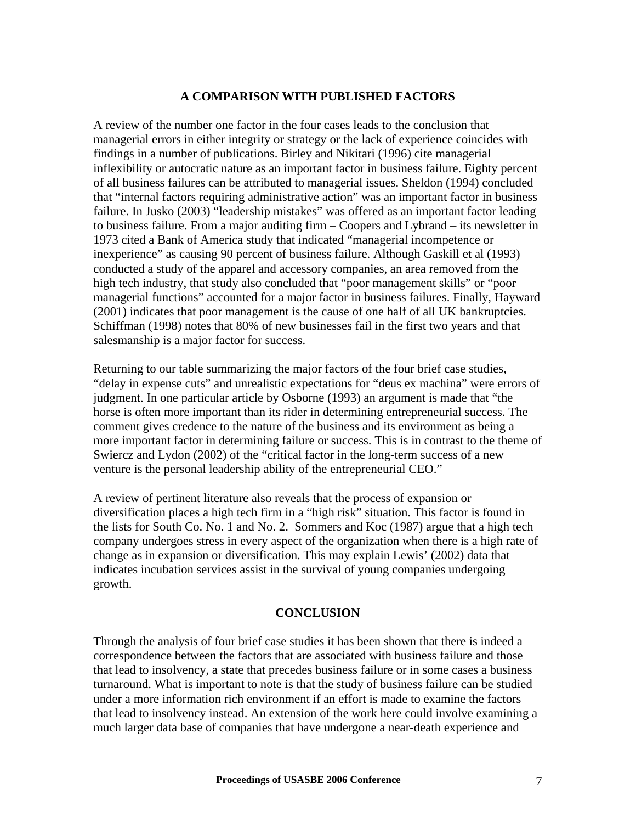#### **A COMPARISON WITH PUBLISHED FACTORS**

A review of the number one factor in the four cases leads to the conclusion that managerial errors in either integrity or strategy or the lack of experience coincides with findings in a number of publications. Birley and Nikitari (1996) cite managerial inflexibility or autocratic nature as an important factor in business failure. Eighty percent of all business failures can be attributed to managerial issues. Sheldon (1994) concluded that "internal factors requiring administrative action" was an important factor in business failure. In Jusko (2003) "leadership mistakes" was offered as an important factor leading to business failure. From a major auditing firm – Coopers and Lybrand – its newsletter in 1973 cited a Bank of America study that indicated "managerial incompetence or inexperience" as causing 90 percent of business failure. Although Gaskill et al (1993) conducted a study of the apparel and accessory companies, an area removed from the high tech industry, that study also concluded that "poor management skills" or "poor managerial functions" accounted for a major factor in business failures. Finally, Hayward (2001) indicates that poor management is the cause of one half of all UK bankruptcies. Schiffman (1998) notes that 80% of new businesses fail in the first two years and that salesmanship is a major factor for success.

Returning to our table summarizing the major factors of the four brief case studies, "delay in expense cuts" and unrealistic expectations for "deus ex machina" were errors of judgment. In one particular article by Osborne (1993) an argument is made that "the horse is often more important than its rider in determining entrepreneurial success. The comment gives credence to the nature of the business and its environment as being a more important factor in determining failure or success. This is in contrast to the theme of Swiercz and Lydon (2002) of the "critical factor in the long-term success of a new venture is the personal leadership ability of the entrepreneurial CEO."

A review of pertinent literature also reveals that the process of expansion or diversification places a high tech firm in a "high risk" situation. This factor is found in the lists for South Co. No. 1 and No. 2. Sommers and Koc (1987) argue that a high tech company undergoes stress in every aspect of the organization when there is a high rate of change as in expansion or diversification. This may explain Lewis' (2002) data that indicates incubation services assist in the survival of young companies undergoing growth.

#### **CONCLUSION**

Through the analysis of four brief case studies it has been shown that there is indeed a correspondence between the factors that are associated with business failure and those that lead to insolvency, a state that precedes business failure or in some cases a business turnaround. What is important to note is that the study of business failure can be studied under a more information rich environment if an effort is made to examine the factors that lead to insolvency instead. An extension of the work here could involve examining a much larger data base of companies that have undergone a near-death experience and